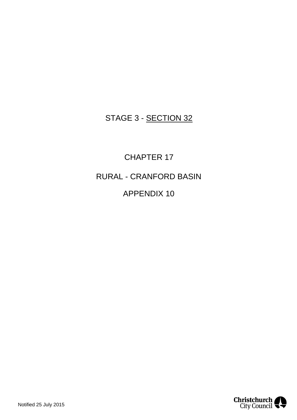## STAGE 3 - SECTION 32

CHAPTER 17 RURAL - CRANFORD BASIN APPENDIX 10